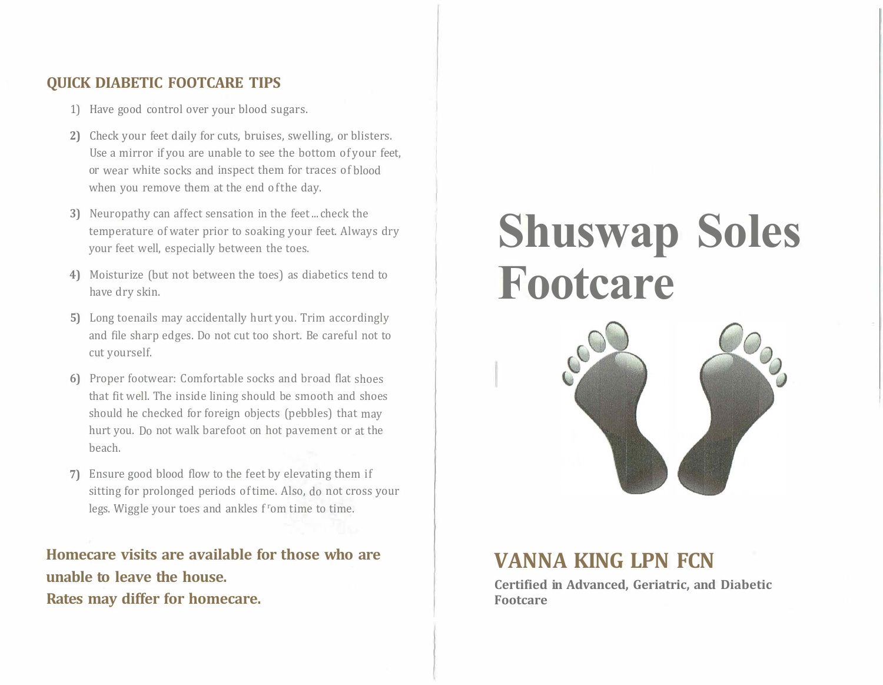#### **QUICK DIABETIC FOOTCARE TIPS**

- 1) Have good control over your blood sugars.
- **2)** Check your feet daily for cuts, bruises, swelling, or blisters. Use a mirror if you are unable to see the bottom of your feet, or wear white socks and inspect them for traces of blood when you remove them at the end of the day.
- **3)** Neuropathy can affect sensation in the feet ... check the temperature of water prior to soaking your feet. Always dry your feet well, especially between the toes.
- **4)** Moisturize (but not between the toes) as diabetics tend to have dry skin.
- **5)** Long toenails may accidentally hurt you. Trim accordingly and file sharp edges. Do not cut too short. Be careful not to cut yourself.
- **6)** Proper footwear: Comfortable socks and broad flat shoes that fit well. The inside lining should be smooth and shoes should he checked for foreign objects (pebbles) that may hurt you. Do not walk barefoot on hot pavement or at the beach.
- **7)** Ensure good blood flow to the feet by elevating them if sitting for prolonged periods of time. Also, do not cross your legs. Wiggle your toes and ankles f <sup>r</sup>om time to time.

**Homecare visits are available for those who are unable to leave the house. Rates may differ for homecare.** 

# **Shuswap Soles Footcare**



### **VANNA KING LPN FCN**

**Certified in Advanced, Geriatric, and Diabetic Footcare**